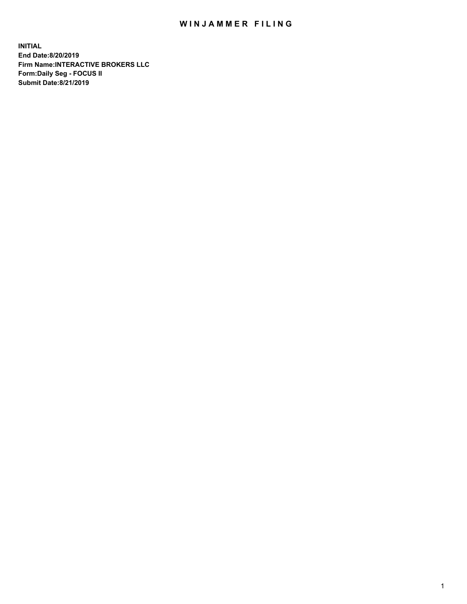## WIN JAMMER FILING

**INITIAL End Date:8/20/2019 Firm Name:INTERACTIVE BROKERS LLC Form:Daily Seg - FOCUS II Submit Date:8/21/2019**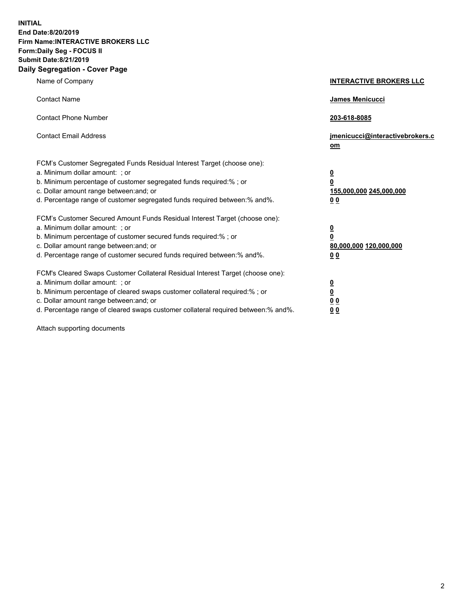**INITIAL End Date:8/20/2019 Firm Name:INTERACTIVE BROKERS LLC Form:Daily Seg - FOCUS II Submit Date:8/21/2019 Daily Segregation - Cover Page**

| Name of Company                                                                                                                                                                                                                                                                                                                | <b>INTERACTIVE BROKERS LLC</b>                                                                  |
|--------------------------------------------------------------------------------------------------------------------------------------------------------------------------------------------------------------------------------------------------------------------------------------------------------------------------------|-------------------------------------------------------------------------------------------------|
| <b>Contact Name</b>                                                                                                                                                                                                                                                                                                            | James Menicucci                                                                                 |
| <b>Contact Phone Number</b>                                                                                                                                                                                                                                                                                                    | 203-618-8085                                                                                    |
| <b>Contact Email Address</b>                                                                                                                                                                                                                                                                                                   | jmenicucci@interactivebrokers.c<br>om                                                           |
| FCM's Customer Segregated Funds Residual Interest Target (choose one):<br>a. Minimum dollar amount: ; or<br>b. Minimum percentage of customer segregated funds required:% ; or<br>c. Dollar amount range between: and; or<br>d. Percentage range of customer segregated funds required between:% and%.                         | $\overline{\mathbf{0}}$<br>$\overline{\mathbf{0}}$<br>155,000,000 245,000,000<br>0 <sub>0</sub> |
| FCM's Customer Secured Amount Funds Residual Interest Target (choose one):<br>a. Minimum dollar amount: ; or<br>b. Minimum percentage of customer secured funds required:%; or<br>c. Dollar amount range between: and; or<br>d. Percentage range of customer secured funds required between:% and%.                            | $\overline{\mathbf{0}}$<br>$\overline{\mathbf{0}}$<br>80,000,000 120,000,000<br>00              |
| FCM's Cleared Swaps Customer Collateral Residual Interest Target (choose one):<br>a. Minimum dollar amount: ; or<br>b. Minimum percentage of cleared swaps customer collateral required:% ; or<br>c. Dollar amount range between: and; or<br>d. Percentage range of cleared swaps customer collateral required between:% and%. | $\overline{\mathbf{0}}$<br>$\underline{\mathbf{0}}$<br>0 <sub>0</sub><br>0 <sub>0</sub>         |

Attach supporting documents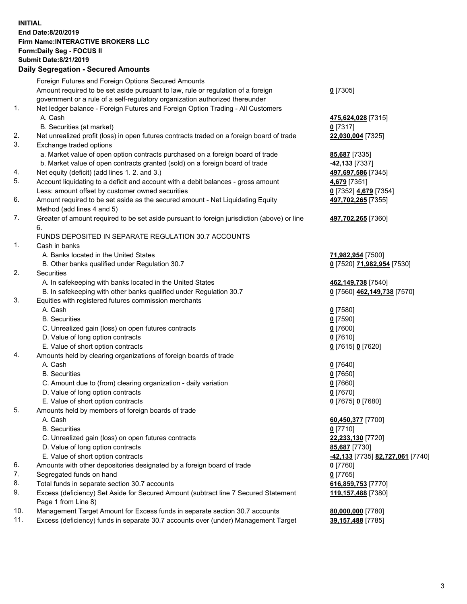## **INITIAL End Date:8/20/2019 Firm Name:INTERACTIVE BROKERS LLC Form:Daily Seg - FOCUS II Submit Date:8/21/2019 Daily Segregation - Secured Amounts**

|                | Dany Ocgregation - Oceaned Anioante                                                               |                                                      |
|----------------|---------------------------------------------------------------------------------------------------|------------------------------------------------------|
|                | Foreign Futures and Foreign Options Secured Amounts                                               |                                                      |
|                | Amount required to be set aside pursuant to law, rule or regulation of a foreign                  | $0$ [7305]                                           |
|                | government or a rule of a self-regulatory organization authorized thereunder                      |                                                      |
| 1.             | Net ledger balance - Foreign Futures and Foreign Option Trading - All Customers                   |                                                      |
|                | A. Cash                                                                                           | 475,624,028 [7315]                                   |
|                | B. Securities (at market)                                                                         | $0$ [7317]                                           |
| 2.             | Net unrealized profit (loss) in open futures contracts traded on a foreign board of trade         | 22,030,004 [7325]                                    |
| 3.             | Exchange traded options                                                                           |                                                      |
|                | a. Market value of open option contracts purchased on a foreign board of trade                    | 85,687 [7335]                                        |
|                | b. Market value of open contracts granted (sold) on a foreign board of trade                      | -42,133 <sup>[7337]</sup>                            |
| 4.             | Net equity (deficit) (add lines 1.2. and 3.)                                                      | 497,697,586 [7345]                                   |
| 5.             | Account liquidating to a deficit and account with a debit balances - gross amount                 | 4,679 [7351]                                         |
|                | Less: amount offset by customer owned securities                                                  | 0 [7352] 4,679 [7354]                                |
| 6.             | Amount required to be set aside as the secured amount - Net Liquidating Equity                    | 497,702,265 [7355]                                   |
|                | Method (add lines 4 and 5)                                                                        |                                                      |
| 7.             | Greater of amount required to be set aside pursuant to foreign jurisdiction (above) or line<br>6. | 497,702,265 [7360]                                   |
|                | FUNDS DEPOSITED IN SEPARATE REGULATION 30.7 ACCOUNTS                                              |                                                      |
| $\mathbf{1}$ . | Cash in banks                                                                                     |                                                      |
|                | A. Banks located in the United States                                                             | 71,982,954 [7500]                                    |
|                | B. Other banks qualified under Regulation 30.7                                                    | 0 [7520] 71,982,954 [7530]                           |
| 2.             | Securities                                                                                        |                                                      |
|                | A. In safekeeping with banks located in the United States                                         | 462,149,738 [7540]                                   |
|                | B. In safekeeping with other banks qualified under Regulation 30.7                                | 0 [7560] 462,149,738 [7570]                          |
| 3.             | Equities with registered futures commission merchants                                             |                                                      |
|                | A. Cash                                                                                           | $0$ [7580]                                           |
|                | <b>B.</b> Securities                                                                              | $0$ [7590]                                           |
|                | C. Unrealized gain (loss) on open futures contracts                                               | $0$ [7600]                                           |
|                | D. Value of long option contracts                                                                 | $0$ [7610]                                           |
|                | E. Value of short option contracts                                                                | 0 [7615] 0 [7620]                                    |
| 4.             | Amounts held by clearing organizations of foreign boards of trade                                 |                                                      |
|                | A. Cash                                                                                           | $0$ [7640]                                           |
|                | <b>B.</b> Securities                                                                              | $0$ [7650]                                           |
|                | C. Amount due to (from) clearing organization - daily variation                                   | $0$ [7660]                                           |
|                | D. Value of long option contracts                                                                 | $0$ [7670]                                           |
|                | E. Value of short option contracts                                                                | 0 [7675] 0 [7680]                                    |
| 5.             | Amounts held by members of foreign boards of trade                                                |                                                      |
|                | A. Cash                                                                                           | 60,450,377 [7700]                                    |
|                | <b>B.</b> Securities                                                                              | $0$ [7710]                                           |
|                | C. Unrealized gain (loss) on open futures contracts                                               | 22,233,130 [7720]                                    |
|                | D. Value of long option contracts                                                                 | 85,687 [7730]                                        |
|                | E. Value of short option contracts                                                                | <mark>-42,133</mark> [7735] <u>82,727,061</u> [7740] |
| 6.             | Amounts with other depositories designated by a foreign board of trade                            | 0 [7760]                                             |
| 7.             | Segregated funds on hand                                                                          | $0$ [7765]                                           |
| 8.             | Total funds in separate section 30.7 accounts                                                     | 616,859,753 [7770]                                   |
| 9.             | Excess (deficiency) Set Aside for Secured Amount (subtract line 7 Secured Statement               | 119,157,488 [7380]                                   |
|                | Page 1 from Line 8)                                                                               |                                                      |
| 10.            | Management Target Amount for Excess funds in separate section 30.7 accounts                       | 80,000,000 [7780]                                    |
| 11.            | Excess (deficiency) funds in separate 30.7 accounts over (under) Management Target                | 39,157,488 [7785]                                    |
|                |                                                                                                   |                                                      |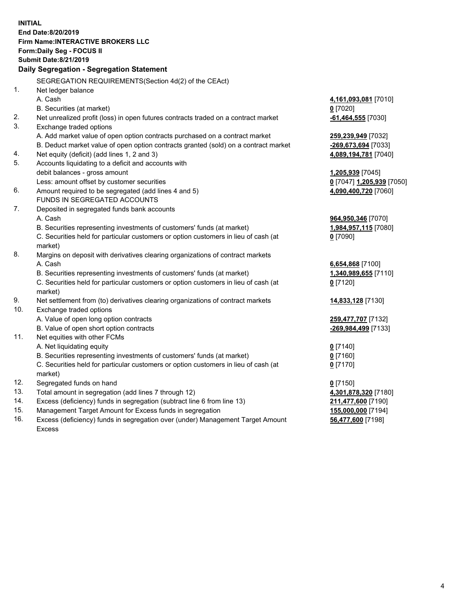**INITIAL End Date:8/20/2019 Firm Name:INTERACTIVE BROKERS LLC Form:Daily Seg - FOCUS II Submit Date:8/21/2019 Daily Segregation - Segregation Statement** SEGREGATION REQUIREMENTS(Section 4d(2) of the CEAct) 1. Net ledger balance A. Cash **4,161,093,081** [7010] B. Securities (at market) **0** [7020] 2. Net unrealized profit (loss) in open futures contracts traded on a contract market **-61,464,555** [7030] 3. Exchange traded options A. Add market value of open option contracts purchased on a contract market **259,239,949** [7032] B. Deduct market value of open option contracts granted (sold) on a contract market **-269,673,694** [7033] 4. Net equity (deficit) (add lines 1, 2 and 3) **4,089,194,781** [7040] 5. Accounts liquidating to a deficit and accounts with debit balances - gross amount **1,205,939** [7045] Less: amount offset by customer securities **0** [7047] **1,205,939** [7050] 6. Amount required to be segregated (add lines 4 and 5) **4,090,400,720** [7060] FUNDS IN SEGREGATED ACCOUNTS 7. Deposited in segregated funds bank accounts A. Cash **964,950,346** [7070] B. Securities representing investments of customers' funds (at market) **1,984,957,115** [7080] C. Securities held for particular customers or option customers in lieu of cash (at market) **0** [7090] 8. Margins on deposit with derivatives clearing organizations of contract markets A. Cash **6,654,868** [7100] B. Securities representing investments of customers' funds (at market) **1,340,989,655** [7110] C. Securities held for particular customers or option customers in lieu of cash (at market) **0** [7120] 9. Net settlement from (to) derivatives clearing organizations of contract markets **14,833,128** [7130] 10. Exchange traded options A. Value of open long option contracts **259,477,707** [7132] B. Value of open short option contracts **-269,984,499** [7133] 11. Net equities with other FCMs A. Net liquidating equity **0** [7140] B. Securities representing investments of customers' funds (at market) **0** [7160] C. Securities held for particular customers or option customers in lieu of cash (at market) **0** [7170] 12. Segregated funds on hand **0** [7150] 13. Total amount in segregation (add lines 7 through 12) **4,301,878,320** [7180] 14. Excess (deficiency) funds in segregation (subtract line 6 from line 13) **211,477,600** [7190] 15. Management Target Amount for Excess funds in segregation **155,000,000** [7194]

16. Excess (deficiency) funds in segregation over (under) Management Target Amount Excess

**56,477,600** [7198]